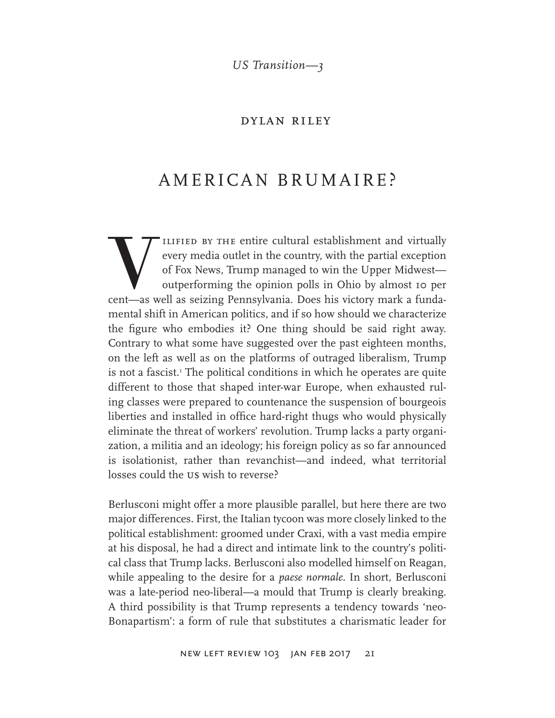*US Transition—3*

### dylan riley

# AMERICAN BRUMAIRE?

VILIFIED BY THE entire cultural establishment and virtually every media outlet in the country, with the partial exception of Fox News, Trump managed to win the Upper Midwest—outperforming the opinion polls in Ohio by almos every media outlet in the country, with the partial exception of Fox News, Trump managed to win the Upper Midwest outperforming the opinion polls in Ohio by almost 10 per cent—as well as seizing Pennsylvania. Does his victory mark a fundamental shift in American politics, and if so how should we characterize the figure who embodies it? One thing should be said right away. Contrary to what some have suggested over the past eighteen months, on the left as well as on the platforms of outraged liberalism, Trump is not a fascist.<sup>1</sup> The political conditions in which he operates are quite different to those that shaped inter-war Europe, when exhausted ruling classes were prepared to countenance the suspension of bourgeois liberties and installed in office hard-right thugs who would physically eliminate the threat of workers' revolution. Trump lacks a party organization, a militia and an ideology; his foreign policy as so far announced is isolationist, rather than revanchist—and indeed, what territorial losses could the us wish to reverse?

Berlusconi might offer a more plausible parallel, but here there are two major differences. First, the Italian tycoon was more closely linked to the political establishment: groomed under Craxi, with a vast media empire at his disposal, he had a direct and intimate link to the country's political class that Trump lacks. Berlusconi also modelled himself on Reagan, while appealing to the desire for a *paese normale*. In short, Berlusconi was a late-period neo-liberal—a mould that Trump is clearly breaking. A third possibility is that Trump represents a tendency towards 'neo-Bonapartism': a form of rule that substitutes a charismatic leader for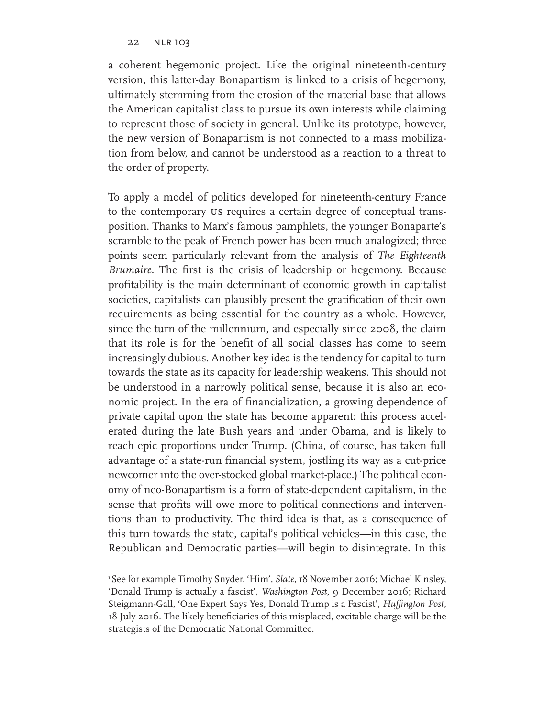a coherent hegemonic project. Like the original nineteenth-century version, this latter-day Bonapartism is linked to a crisis of hegemony, ultimately stemming from the erosion of the material base that allows the American capitalist class to pursue its own interests while claiming to represent those of society in general. Unlike its prototype, however, the new version of Bonapartism is not connected to a mass mobilization from below, and cannot be understood as a reaction to a threat to the order of property.

To apply a model of politics developed for nineteenth-century France to the contemporary us requires a certain degree of conceptual transposition. Thanks to Marx's famous pamphlets, the younger Bonaparte's scramble to the peak of French power has been much analogized; three points seem particularly relevant from the analysis of *The Eighteenth Brumaire*. The first is the crisis of leadership or hegemony. Because profitability is the main determinant of economic growth in capitalist societies, capitalists can plausibly present the gratification of their own requirements as being essential for the country as a whole. However, since the turn of the millennium, and especially since 2008, the claim that its role is for the benefit of all social classes has come to seem increasingly dubious. Another key idea is the tendency for capital to turn towards the state as its capacity for leadership weakens. This should not be understood in a narrowly political sense, because it is also an economic project. In the era of financialization, a growing dependence of private capital upon the state has become apparent: this process accelerated during the late Bush years and under Obama, and is likely to reach epic proportions under Trump. (China, of course, has taken full advantage of a state-run financial system, jostling its way as a cut-price newcomer into the over-stocked global market-place.) The political economy of neo-Bonapartism is a form of state-dependent capitalism, in the sense that profits will owe more to political connections and interventions than to productivity. The third idea is that, as a consequence of this turn towards the state, capital's political vehicles—in this case, the Republican and Democratic parties—will begin to disintegrate. In this

<sup>&</sup>lt;sup>1</sup> See for example Timothy Snyder, 'Him', *Slate*, 18 November 2016; Michael Kinsley, 'Donald Trump is actually a fascist', *Washington Post*, 9 December 2016; Richard Steigmann-Gall, 'One Expert Says Yes, Donald Trump is a Fascist', *Huffington Post*, 18 July 2016. The likely beneficiaries of this misplaced, excitable charge will be the strategists of the Democratic National Committee.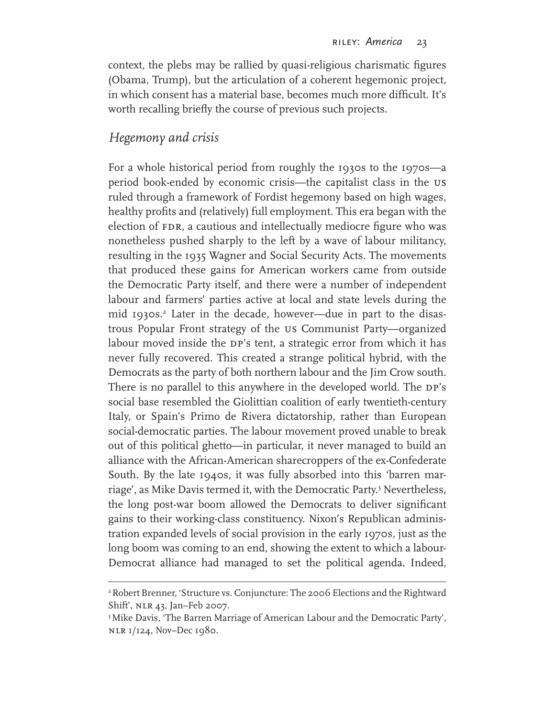context, the plebs may be rallied by quasi-religious charismatic figures (Obama, Trump), but the articulation of a coherent hegemonic project, in which consent has a material base, becomes much more difficult. It's worth recalling briefly the course of previous such projects.

## *Hegemony and crisis*

For a whole historical period from roughly the 1930s to the 1970s—a period book-ended by economic crisis—the capitalist class in the us ruled through a framework of Fordist hegemony based on high wages, healthy profits and (relatively) full employment. This era began with the election of FDR, a cautious and intellectually mediocre figure who was nonetheless pushed sharply to the left by a wave of labour militancy, resulting in the 1935 Wagner and Social Security Acts. The movements that produced these gains for American workers came from outside the Democratic Party itself, and there were a number of independent labour and farmers' parties active at local and state levels during the mid 1930s.2 Later in the decade, however—due in part to the disastrous Popular Front strategy of the us Communist Party—organized labour moved inside the DP's tent, a strategic error from which it has never fully recovered. This created a strange political hybrid, with the Democrats as the party of both northern labour and the Jim Crow south. There is no parallel to this anywhere in the developed world. The DP's social base resembled the Giolittian coalition of early twentieth-century Italy, or Spain's Primo de Rivera dictatorship, rather than European social-democratic parties. The labour movement proved unable to break out of this political ghetto—in particular, it never managed to build an alliance with the African-American sharecroppers of the ex-Confederate South. By the late 1940s, it was fully absorbed into this 'barren marriage', as Mike Davis termed it, with the Democratic Party.3 Nevertheless, the long post-war boom allowed the Democrats to deliver significant gains to their working-class constituency. Nixon's Republican administration expanded levels of social provision in the early 1970s, just as the long boom was coming to an end, showing the extent to which a labour-Democrat alliance had managed to set the political agenda. Indeed,

<sup>&</sup>lt;sup>2</sup> Robert Brenner, 'Structure vs. Conjuncture: The 2006 Elections and the Rightward Shift', nlr 43, Jan–Feb 2007.

<sup>&</sup>lt;sup>3</sup> Mike Davis, 'The Barren Marriage of American Labour and the Democratic Party', nlr 1/124, Nov–Dec 1980.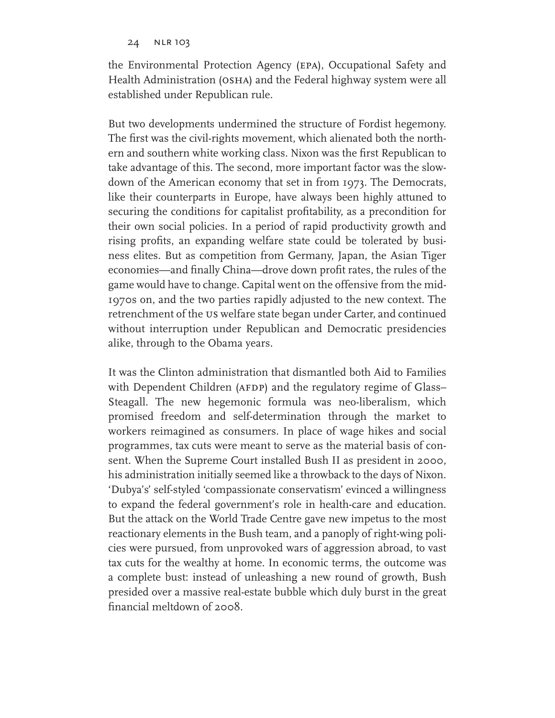#### 24 NLR 103

the Environmental Protection Agency (epa), Occupational Safety and Health Administration (OSHA) and the Federal highway system were all established under Republican rule.

But two developments undermined the structure of Fordist hegemony. The first was the civil-rights movement, which alienated both the northern and southern white working class. Nixon was the first Republican to take advantage of this. The second, more important factor was the slowdown of the American economy that set in from 1973. The Democrats, like their counterparts in Europe, have always been highly attuned to securing the conditions for capitalist profitability, as a precondition for their own social policies. In a period of rapid productivity growth and rising profits, an expanding welfare state could be tolerated by business elites. But as competition from Germany, Japan, the Asian Tiger economies—and finally China—drove down profit rates, the rules of the game would have to change. Capital went on the offensive from the mid-1970s on, and the two parties rapidly adjusted to the new context. The retrenchment of the us welfare state began under Carter, and continued without interruption under Republican and Democratic presidencies alike, through to the Obama years.

It was the Clinton administration that dismantled both Aid to Families with Dependent Children (AFDP) and the regulatory regime of Glass– Steagall. The new hegemonic formula was neo-liberalism, which promised freedom and self-determination through the market to workers reimagined as consumers. In place of wage hikes and social programmes, tax cuts were meant to serve as the material basis of consent. When the Supreme Court installed Bush II as president in 2000, his administration initially seemed like a throwback to the days of Nixon. 'Dubya's' self-styled 'compassionate conservatism' evinced a willingness to expand the federal government's role in health-care and education. But the attack on the World Trade Centre gave new impetus to the most reactionary elements in the Bush team, and a panoply of right-wing policies were pursued, from unprovoked wars of aggression abroad, to vast tax cuts for the wealthy at home. In economic terms, the outcome was a complete bust: instead of unleashing a new round of growth, Bush presided over a massive real-estate bubble which duly burst in the great financial meltdown of 2008.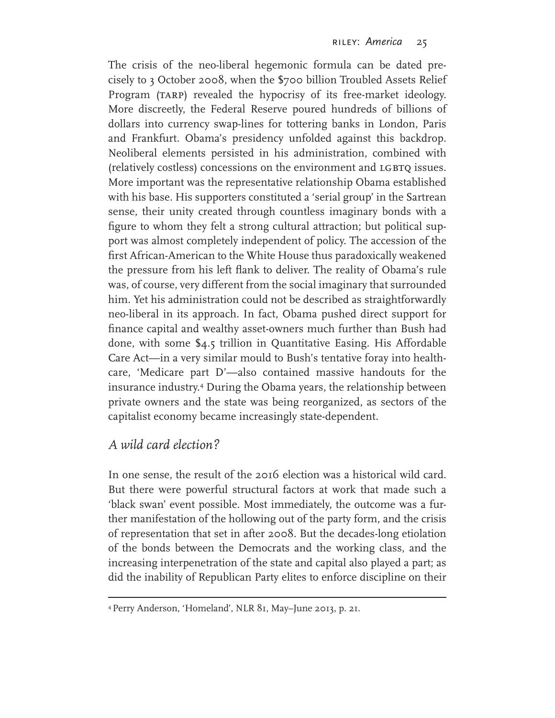The crisis of the neo-liberal hegemonic formula can be dated precisely to 3 October 2008, when the \$700 billion Troubled Assets Relief Program (TARP) revealed the hypocrisy of its free-market ideology. More discreetly, the Federal Reserve poured hundreds of billions of dollars into currency swap-lines for tottering banks in London, Paris and Frankfurt. Obama's presidency unfolded against this backdrop. Neoliberal elements persisted in his administration, combined with (relatively costless) concessions on the environment and LGBTQ issues. More important was the representative relationship Obama established with his base. His supporters constituted a 'serial group' in the Sartrean sense, their unity created through countless imaginary bonds with a figure to whom they felt a strong cultural attraction; but political support was almost completely independent of policy. The accession of the first African-American to the White House thus paradoxically weakened the pressure from his left flank to deliver. The reality of Obama's rule was, of course, very different from the social imaginary that surrounded him. Yet his administration could not be described as straightforwardly neo-liberal in its approach. In fact, Obama pushed direct support for finance capital and wealthy asset-owners much further than Bush had done, with some \$4.5 trillion in Quantitative Easing. His Affordable Care Act—in a very similar mould to Bush's tentative foray into healthcare, 'Medicare part D'—also contained massive handouts for the insurance industry.4 During the Obama years, the relationship between private owners and the state was being reorganized, as sectors of the capitalist economy became increasingly state-dependent.

## *A wild card election?*

In one sense, the result of the 2016 election was a historical wild card. But there were powerful structural factors at work that made such a 'black swan' event possible. Most immediately, the outcome was a further manifestation of the hollowing out of the party form, and the crisis of representation that set in after 2008. But the decades-long etiolation of the bonds between the Democrats and the working class, and the increasing interpenetration of the state and capital also played a part; as did the inability of Republican Party elites to enforce discipline on their

<sup>4</sup> Perry Anderson, 'Homeland', NLR 81, May–June 2013, p. 21.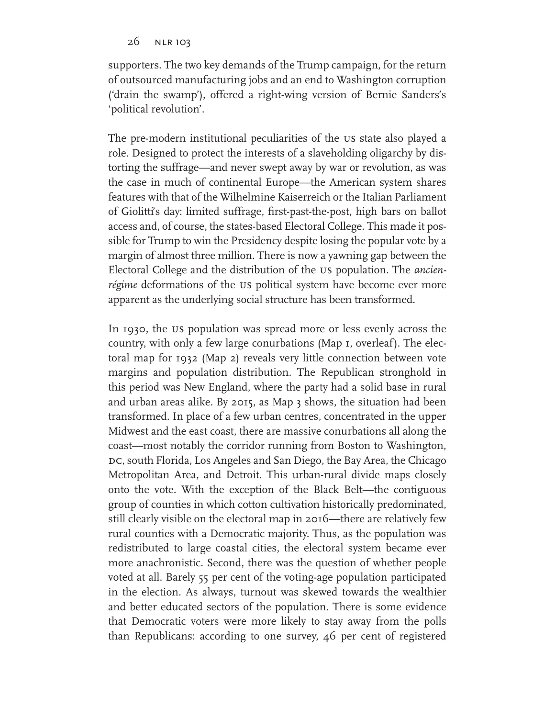26 nlr 103

supporters. The two key demands of the Trump campaign, for the return of outsourced manufacturing jobs and an end to Washington corruption ('drain the swamp'), offered a right-wing version of Bernie Sanders's 'political revolution'.

The pre-modern institutional peculiarities of the us state also played a role. Designed to protect the interests of a slaveholding oligarchy by distorting the suffrage—and never swept away by war or revolution, as was the case in much of continental Europe—the American system shares features with that of the Wilhelmine Kaiserreich or the Italian Parliament of Giolitti's day: limited suffrage, first-past-the-post, high bars on ballot access and, of course, the states-based Electoral College. This made it possible for Trump to win the Presidency despite losing the popular vote by a margin of almost three million. There is now a yawning gap between the Electoral College and the distribution of the us population. The *ancienrégime* deformations of the *us* political system have become ever more apparent as the underlying social structure has been transformed.

In 1930, the us population was spread more or less evenly across the country, with only a few large conurbations (Map 1, overleaf). The electoral map for 1932 (Map 2) reveals very little connection between vote margins and population distribution. The Republican stronghold in this period was New England, where the party had a solid base in rural and urban areas alike. By 2015, as Map 3 shows, the situation had been transformed. In place of a few urban centres, concentrated in the upper Midwest and the east coast, there are massive conurbations all along the coast—most notably the corridor running from Boston to Washington, DC, south Florida, Los Angeles and San Diego, the Bay Area, the Chicago Metropolitan Area, and Detroit. This urban-rural divide maps closely onto the vote. With the exception of the Black Belt—the contiguous group of counties in which cotton cultivation historically predominated, still clearly visible on the electoral map in 2016—there are relatively few rural counties with a Democratic majority. Thus, as the population was redistributed to large coastal cities, the electoral system became ever more anachronistic. Second, there was the question of whether people voted at all. Barely 55 per cent of the voting-age population participated in the election. As always, turnout was skewed towards the wealthier and better educated sectors of the population. There is some evidence that Democratic voters were more likely to stay away from the polls than Republicans: according to one survey, 46 per cent of registered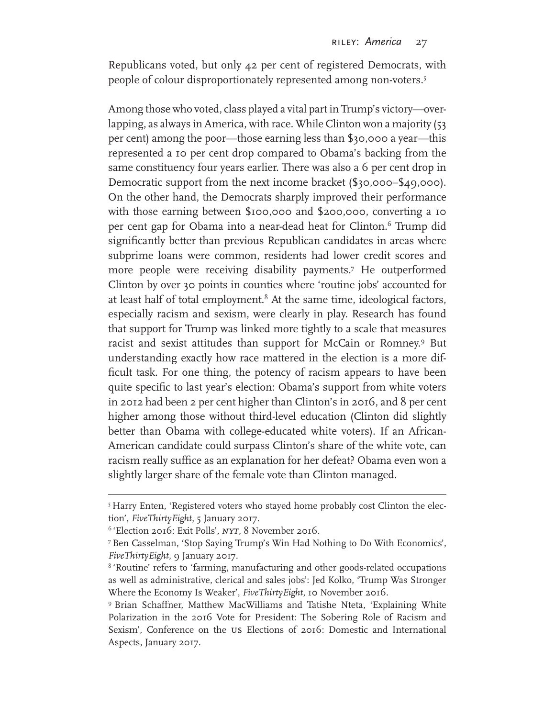Republicans voted, but only 42 per cent of registered Democrats, with people of colour disproportionately represented among non-voters.5

Among those who voted, class played a vital part in Trump's victory—overlapping, as always in America, with race. While Clinton won a majority (53 per cent) among the poor—those earning less than \$30,000 a year—this represented a 10 per cent drop compared to Obama's backing from the same constituency four years earlier. There was also a 6 per cent drop in Democratic support from the next income bracket (\$30,000–\$49,000). On the other hand, the Democrats sharply improved their performance with those earning between \$100,000 and \$200,000, converting a 10 per cent gap for Obama into a near-dead heat for Clinton.6 Trump did significantly better than previous Republican candidates in areas where subprime loans were common, residents had lower credit scores and more people were receiving disability payments.7 He outperformed Clinton by over 30 points in counties where 'routine jobs' accounted for at least half of total employment.<sup>8</sup> At the same time, ideological factors, especially racism and sexism, were clearly in play. Research has found that support for Trump was linked more tightly to a scale that measures racist and sexist attitudes than support for McCain or Romney.9 But understanding exactly how race mattered in the election is a more difficult task. For one thing, the potency of racism appears to have been quite specific to last year's election: Obama's support from white voters in 2012 had been 2 per cent higher than Clinton's in 2016, and 8 per cent higher among those without third-level education (Clinton did slightly better than Obama with college-educated white voters). If an African-American candidate could surpass Clinton's share of the white vote, can racism really suffice as an explanation for her defeat? Obama even won a slightly larger share of the female vote than Clinton managed.

<sup>5</sup> Harry Enten, 'Registered voters who stayed home probably cost Clinton the election', *FiveThirtyEight*, 5 January 2017.

<sup>6</sup> 'Election 2016: Exit Polls', *nyt*, 8 November 2016.

<sup>7</sup>Ben Casselman, 'Stop Saying Trump's Win Had Nothing to Do With Economics', *FiveThirtyEight*, 9 January 2017.

<sup>&</sup>lt;sup>8</sup> 'Routine' refers to 'farming, manufacturing and other goods-related occupations as well as administrative, clerical and sales jobs': Jed Kolko, 'Trump Was Stronger Where the Economy Is Weaker', *FiveThirtyEight*, 10 November 2016.

<sup>9</sup> Brian Schaffner, Matthew MacWilliams and Tatishe Nteta, 'Explaining White Polarization in the 2016 Vote for President: The Sobering Role of Racism and Sexism', Conference on the us Elections of 2016: Domestic and International Aspects, January 2017.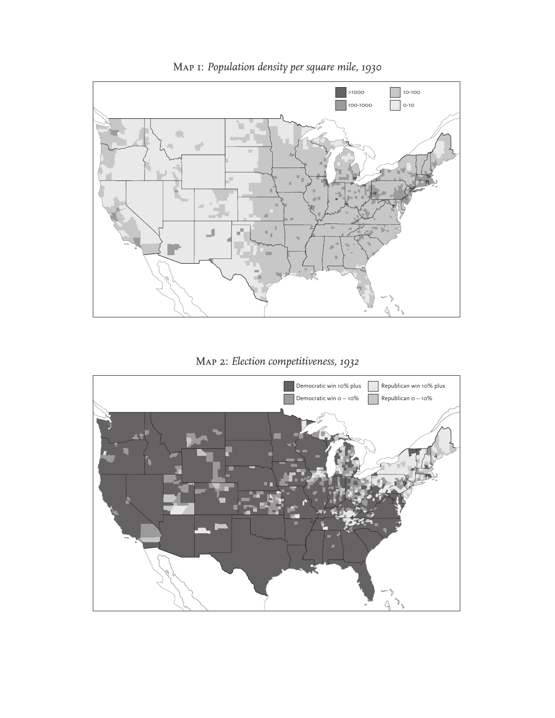

Map 1: *Population density per square mile, 1930*

Map 2: *Election competitiveness, 1932*

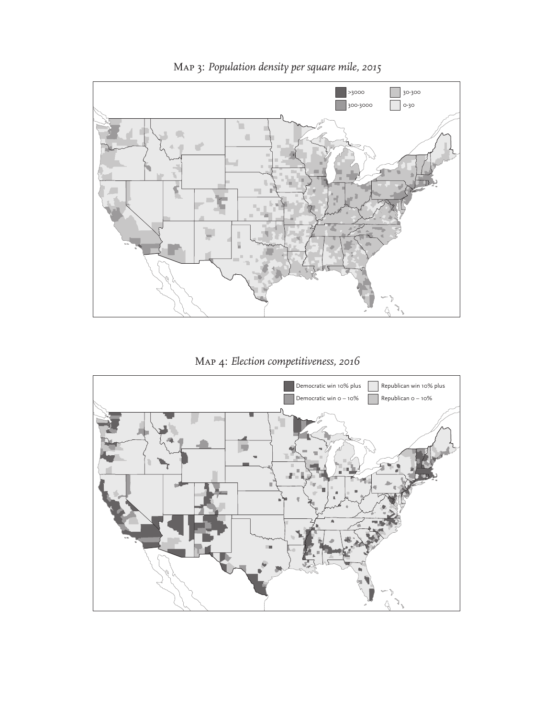

Map 3: *Population density per square mile, 2015*

Map 4: *Election competitiveness, 2016*

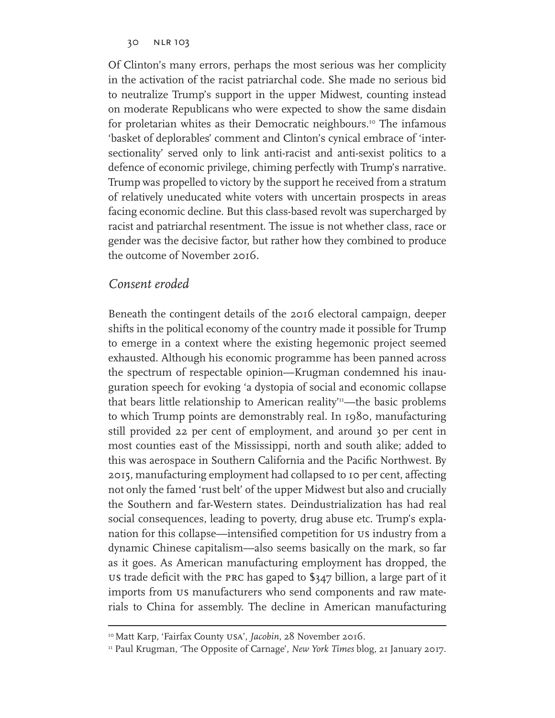Of Clinton's many errors, perhaps the most serious was her complicity in the activation of the racist patriarchal code. She made no serious bid to neutralize Trump's support in the upper Midwest, counting instead on moderate Republicans who were expected to show the same disdain for proletarian whites as their Democratic neighbours.<sup>10</sup> The infamous 'basket of deplorables' comment and Clinton's cynical embrace of 'intersectionality' served only to link anti-racist and anti-sexist politics to a defence of economic privilege, chiming perfectly with Trump's narrative. Trump was propelled to victory by the support he received from a stratum of relatively uneducated white voters with uncertain prospects in areas facing economic decline. But this class-based revolt was supercharged by racist and patriarchal resentment. The issue is not whether class, race or gender was the decisive factor, but rather how they combined to produce the outcome of November 2016.

## *Consent eroded*

Beneath the contingent details of the 2016 electoral campaign, deeper shifts in the political economy of the country made it possible for Trump to emerge in a context where the existing hegemonic project seemed exhausted. Although his economic programme has been panned across the spectrum of respectable opinion—Krugman condemned his inauguration speech for evoking 'a dystopia of social and economic collapse that bears little relationship to American reality<sup> $n$ </sup>—the basic problems to which Trump points are demonstrably real. In 1980, manufacturing still provided 22 per cent of employment, and around 30 per cent in most counties east of the Mississippi, north and south alike; added to this was aerospace in Southern California and the Pacific Northwest. By 2015, manufacturing employment had collapsed to 10 per cent, affecting not only the famed 'rust belt' of the upper Midwest but also and crucially the Southern and far-Western states. Deindustrialization has had real social consequences, leading to poverty, drug abuse etc. Trump's explanation for this collapse—intensified competition for us industry from a dynamic Chinese capitalism—also seems basically on the mark, so far as it goes. As American manufacturing employment has dropped, the us trade deficit with the prc has gaped to \$347 billion, a large part of it imports from us manufacturers who send components and raw materials to China for assembly. The decline in American manufacturing

<sup>&</sup>lt;sup>10</sup> Matt Karp, 'Fairfax County USA', *Jacobin*, 28 November 2016.

<sup>11</sup> Paul Krugman, 'The Opposite of Carnage', *New York Times* blog, 21 January 2017.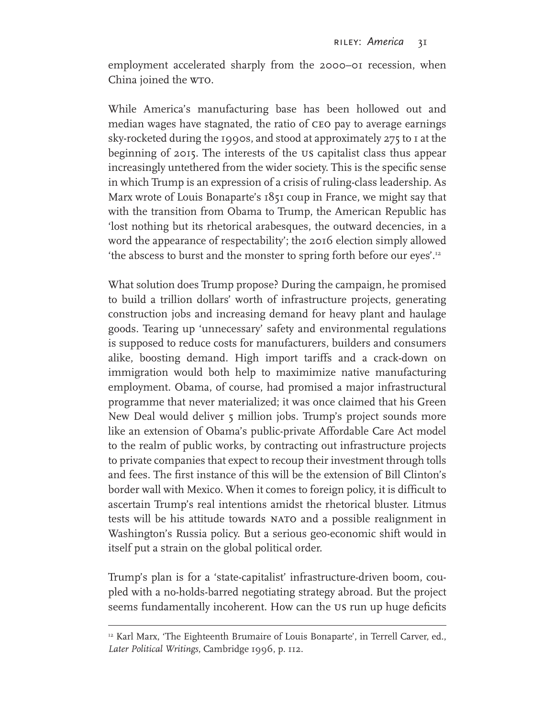employment accelerated sharply from the 2000–01 recession, when China joined the w<sub>TO</sub>.

While America's manufacturing base has been hollowed out and median wages have stagnated, the ratio of ceo pay to average earnings sky-rocketed during the 1990s, and stood at approximately 275 to 1 at the beginning of 2015. The interests of the us capitalist class thus appear increasingly untethered from the wider society. This is the specific sense in which Trump is an expression of a crisis of ruling-class leadership. As Marx wrote of Louis Bonaparte's 1851 coup in France, we might say that with the transition from Obama to Trump, the American Republic has 'lost nothing but its rhetorical arabesques, the outward decencies, in a word the appearance of respectability'; the 2016 election simply allowed 'the abscess to burst and the monster to spring forth before our eyes'.12

What solution does Trump propose? During the campaign, he promised to build a trillion dollars' worth of infrastructure projects, generating construction jobs and increasing demand for heavy plant and haulage goods. Tearing up 'unnecessary' safety and environmental regulations is supposed to reduce costs for manufacturers, builders and consumers alike, boosting demand. High import tariffs and a crack-down on immigration would both help to maximimize native manufacturing employment. Obama, of course, had promised a major infrastructural programme that never materialized; it was once claimed that his Green New Deal would deliver 5 million jobs. Trump's project sounds more like an extension of Obama's public-private Affordable Care Act model to the realm of public works, by contracting out infrastructure projects to private companies that expect to recoup their investment through tolls and fees. The first instance of this will be the extension of Bill Clinton's border wall with Mexico. When it comes to foreign policy, it is difficult to ascertain Trump's real intentions amidst the rhetorical bluster. Litmus tests will be his attitude towards NATO and a possible realignment in Washington's Russia policy. But a serious geo-economic shift would in itself put a strain on the global political order.

Trump's plan is for a 'state-capitalist' infrastructure-driven boom, coupled with a no-holds-barred negotiating strategy abroad. But the project seems fundamentally incoherent. How can the US run up huge deficits

<sup>&</sup>lt;sup>12</sup> Karl Marx, 'The Eighteenth Brumaire of Louis Bonaparte', in Terrell Carver, ed., *Later Political Writings*, Cambridge 1996, p. 112.